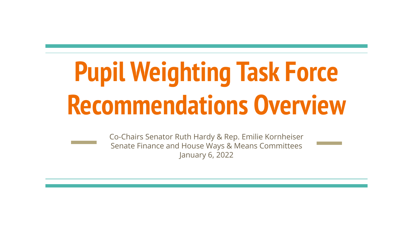# **Pupil Weighting Task Force Recommendations Overview**

Co-Chairs Senator Ruth Hardy & Rep. Emilie Kornheiser Senate Finance and House Ways & Means Committees January 6, 2022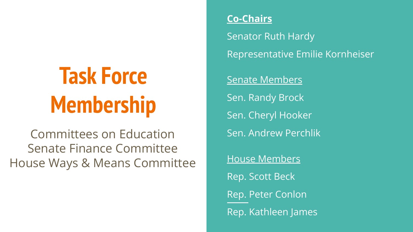# **Task Force Membership**

Committees on Education Senate Finance Committee House Ways & Means Committee

#### **Co-Chairs**

Senator Ruth Hardy Representative Emilie Kornheiser

Senate Members Sen. Randy Brock Sen. Cheryl Hooker Sen. Andrew Perchlik House Members Rep. Scott Beck Rep. Peter Conlon Rep. Kathleen James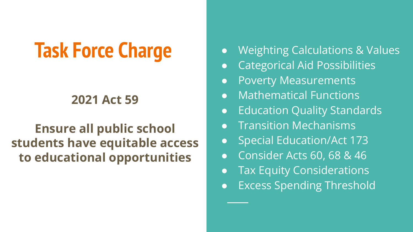# **Task Force Charge**

### **2021 Act 59**

### **Ensure all public school students have equitable access to educational opportunities**

- Weighting Calculations & Values
- Categorical Aid Possibilities
- Poverty Measurements
- Mathematical Functions
- Education Quality Standards
- Transition Mechanisms
- Special Education/Act 173
- Consider Acts 60, 68 & 46
- Tax Equity Considerations
- Excess Spending Threshold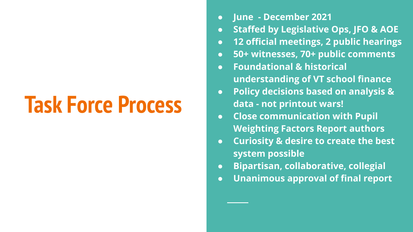# **Task Force Process**

- **● June December 2021**
- **● Staffed by Legislative Ops, JFO & AOE**
- **● 12 official meetings, 2 public hearings**
- **● 50+ witnesses, 70+ public comments**
- **● Foundational & historical understanding of VT school finance**
- **● Policy decisions based on analysis & data - not printout wars!**
- **● Close communication with Pupil Weighting Factors Report authors**
- **● Curiosity & desire to create the best system possible**
- **● Bipartisan, collaborative, collegial**
- **● Unanimous approval of final report**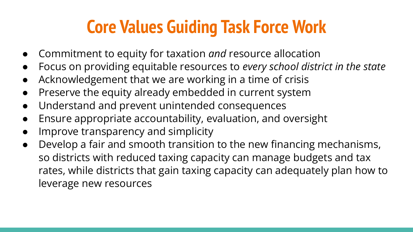### **Core Values Guiding Task Force Work**

- Commitment to equity for taxation *and* resource allocation
- Focus on providing equitable resources to *every school district in the state*
- Acknowledgement that we are working in a time of crisis
- Preserve the equity already embedded in current system
- Understand and prevent unintended consequences
- Ensure appropriate accountability, evaluation, and oversight
- Improve transparency and simplicity
- Develop a fair and smooth transition to the new financing mechanisms, so districts with reduced taxing capacity can manage budgets and tax rates, while districts that gain taxing capacity can adequately plan how to leverage new resources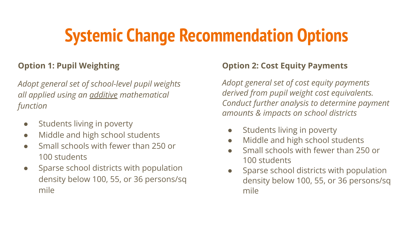# **Systemic Change Recommendation Options**

#### **Option 1: Pupil Weighting**

*Adopt general set of school-level pupil weights all applied using an additive mathematical function*

- Students living in poverty
- Middle and high school students
- Small schools with fewer than 250 or 100 students
- Sparse school districts with population density below 100, 55, or 36 persons/sq mile

#### **Option 2: Cost Equity Payments**

*Adopt general set of cost equity payments derived from pupil weight cost equivalents. Conduct further analysis to determine payment amounts & impacts on school districts*

- Students living in poverty
- Middle and high school students
- Small schools with fewer than 250 or 100 students
- Sparse school districts with population density below 100, 55, or 36 persons/sq mile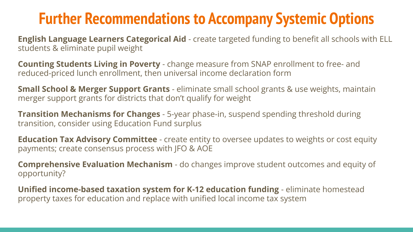### **Further Recommendations to Accompany Systemic Options**

**English Language Learners Categorical Aid** - create targeted funding to benefit all schools with ELL students & eliminate pupil weight

**Counting Students Living in Poverty** - change measure from SNAP enrollment to free- and reduced-priced lunch enrollment, then universal income declaration form

**Small School & Merger Support Grants** - eliminate small school grants & use weights, maintain merger support grants for districts that don't qualify for weight

**Transition Mechanisms for Changes** - 5-year phase-in, suspend spending threshold during transition, consider using Education Fund surplus

**Education Tax Advisory Committee** - create entity to oversee updates to weights or cost equity payments; create consensus process with JFO & AOE

**Comprehensive Evaluation Mechanism** - do changes improve student outcomes and equity of opportunity?

**Unified income-based taxation system for K-12 education funding** - eliminate homestead property taxes for education and replace with unified local income tax system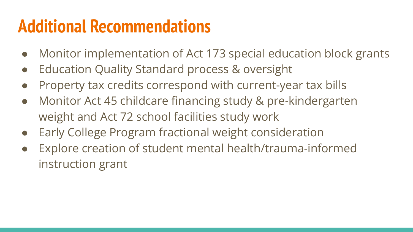### **Additional Recommendations**

- Monitor implementation of Act 173 special education block grants
- **Education Quality Standard process & oversight**
- Property tax credits correspond with current-year tax bills
- Monitor Act 45 childcare financing study & pre-kindergarten weight and Act 72 school facilities study work
- Early College Program fractional weight consideration
- Explore creation of student mental health/trauma-informed instruction grant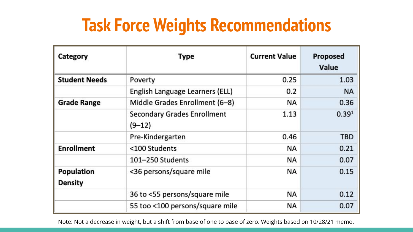### **Task Force Weights Recommendations**

| Category                     | <b>Type</b>                                  | <b>Current Value</b> | Proposed<br>Value |
|------------------------------|----------------------------------------------|----------------------|-------------------|
| <b>Student Needs</b>         | Poverty                                      | 0.25                 | 1.03              |
|                              | English Language Learners (ELL)              | 0.2                  | <b>NA</b>         |
| <b>Grade Range</b>           | Middle Grades Enrollment (6-8)               | NA                   | 0.36              |
|                              | <b>Secondary Grades Enrollment</b><br>(9–12) | 1.13                 | 0.39 <sup>1</sup> |
|                              | Pre-Kindergarten                             | 0.46                 | TBD               |
| <b>Enrollment</b>            | <100 Students                                | NA                   | 0.21              |
|                              | 101-250 Students                             | NA                   | 0.07              |
| Population<br><b>Density</b> | <36 persons/square mile                      | ΝA                   | 0.15              |
|                              | 36 to <55 persons/square mile                | NA                   | 0.12              |
|                              | 55 too <100 persons/square mile              | NA                   | 0.07              |

Note: Not a decrease in weight, but a shift from base of one to base of zero. Weights based on 10/28/21 memo.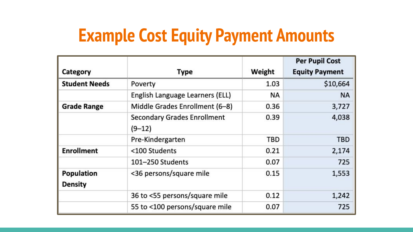### **Example Cost Equity Payment Amounts**

|                                     |                                                |        | <b>Per Pupil Cost</b> |
|-------------------------------------|------------------------------------------------|--------|-----------------------|
| Category                            | Type                                           | Weight | <b>Equity Payment</b> |
| <b>Student Needs</b>                | Poverty                                        | 1.03   | \$10,664              |
|                                     | English Language Learners (ELL)                | NA     | <b>NA</b>             |
| <b>Grade Range</b>                  | Middle Grades Enrollment (6-8)                 | 0.36   | 3,727                 |
|                                     | <b>Secondary Grades Enrollment</b><br>$(9-12)$ | 0.39   | 4,038                 |
|                                     | Pre-Kindergarten                               | TBD    | <b>TBD</b>            |
| <b>Enrollment</b>                   | <100 Students                                  | 0.21   | 2,174                 |
|                                     | 101-250 Students                               | 0.07   | 725                   |
| <b>Population</b><br><b>Density</b> | <36 persons/square mile                        | 0.15   | 1,553                 |
|                                     | 36 to <55 persons/square mile                  | 0.12   | 1,242                 |
|                                     | 55 to <100 persons/square mile                 | 0.07   | 725                   |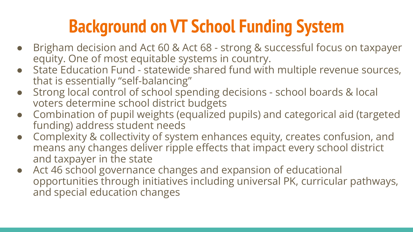# **Background on VT School Funding System**

- Brigham decision and Act 60 & Act 68 strong & successful focus on taxpayer equity. One of most equitable systems in country.
- State Education Fund statewide shared fund with multiple revenue sources, that is essentially "self-balancing"
- Strong local control of school spending decisions school boards & local voters determine school district budgets
- Combination of pupil weights (equalized pupils) and categorical aid (targeted funding) address student needs
- Complexity & collectivity of system enhances equity, creates confusion, and means any changes deliver ripple effects that impact every school district and taxpayer in the state
- Act 46 school governance changes and expansion of educational opportunities through initiatives including universal PK, curricular pathways, and special education changes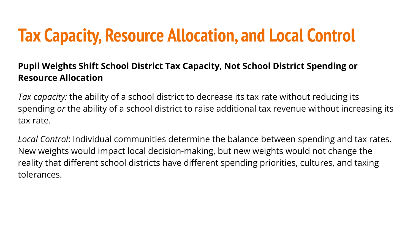### **Tax Capacity, Resource Allocation, and Local Control**

#### **Pupil Weights Shift School District Tax Capacity, Not School District Spending or Resource Allocation**

*Tax capacity:* the ability of a school district to decrease its tax rate without reducing its spending *or* the ability of a school district to raise additional tax revenue without increasing its tax rate.

*Local Control*: Individual communities determine the balance between spending and tax rates. New weights would impact local decision-making, but new weights would not change the reality that different school districts have different spending priorities, cultures, and taxing tolerances.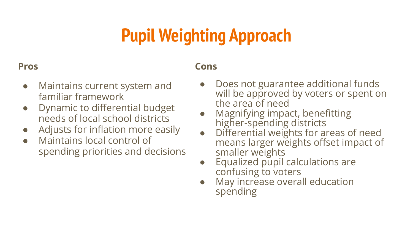# **Pupil Weighting Approach**

#### **Pros**

#### **Cons**

- Maintains current system and familiar framework
- Dynamic to differential budget needs of local school districts
- Adjusts for inflation more easily
- Maintains local control of spending priorities and decisions
- Does not guarantee additional funds will be approved by voters or spent on the area of need
- Magnifying impact, benefitting higher-spending districts
- Differential weights for areas of need means larger weights offset impact of smaller weights
- Equalized pupil calculations are confusing to voters
- May increase overall education spending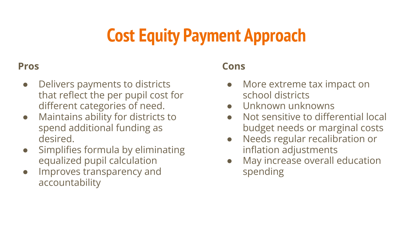# **Cost Equity Payment Approach**

#### **Pros**

- Delivers payments to districts that reflect the per pupil cost for different categories of need.
- Maintains ability for districts to spend additional funding as desired.
- Simplifies formula by eliminating equalized pupil calculation
- Improves transparency and accountability

#### **Cons**

- More extreme tax impact on school districts
- Unknown unknowns
- Not sensitive to differential local budget needs or marginal costs
- Needs regular recalibration or inflation adjustments
- May increase overall education spending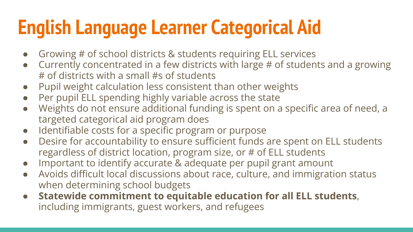# **English Language Learner Categorical Aid**

- Growing # of school districts & students requiring ELL services
- Currently concentrated in a few districts with large # of students and a growing # of districts with a small #s of students
- Pupil weight calculation less consistent than other weights
- Per pupil ELL spending highly variable across the state
- Weights do not ensure additional funding is spent on a specific area of need, a targeted categorical aid program does
- Identifiable costs for a specific program or purpose
- Desire for accountability to ensure sufficient funds are spent on ELL students regardless of district location, program size, or # of ELL students
- Important to identify accurate & adequate per pupil grant amount
- Avoids difficult local discussions about race, culture, and immigration status when determining school budgets
- **Statewide commitment to equitable education for all ELL students**, including immigrants, guest workers, and refugees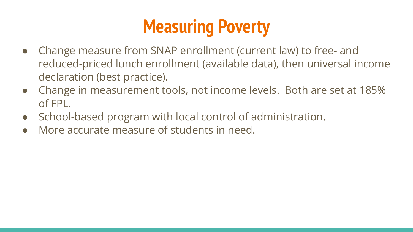# **Measuring Poverty**

- Change measure from SNAP enrollment (current law) to free- and reduced-priced lunch enrollment (available data), then universal income declaration (best practice).
- Change in measurement tools, not income levels. Both are set at 185% of FPL.
- School-based program with local control of administration.
- More accurate measure of students in need.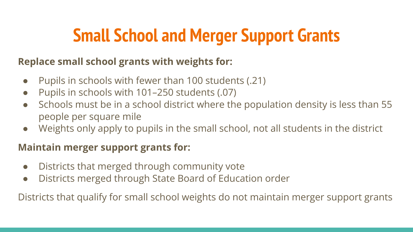# **Small School and Merger Support Grants**

#### **Replace small school grants with weights for:**

- Pupils in schools with fewer than 100 students (.21)
- Pupils in schools with 101–250 students (.07)
- Schools must be in a school district where the population density is less than 55 people per square mile
- Weights only apply to pupils in the small school, not all students in the district

#### **Maintain merger support grants for:**

- Districts that merged through community vote
- Districts merged through State Board of Education order

Districts that qualify for small school weights do not maintain merger support grants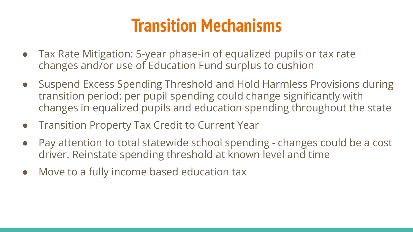### **Transition Mechanisms**

- Tax Rate Mitigation: 5-year phase-in of equalized pupils or tax rate changes and/or use of Education Fund surplus to cushion
- Suspend Excess Spending Threshold and Hold Harmless Provisions during transition period: per pupil spending could change significantly with changes in equalized pupils and education spending throughout the state
- Transition Property Tax Credit to Current Year
- Pay attention to total statewide school spending changes could be a cost driver. Reinstate spending threshold at known level and time
- Move to a fully income based education tax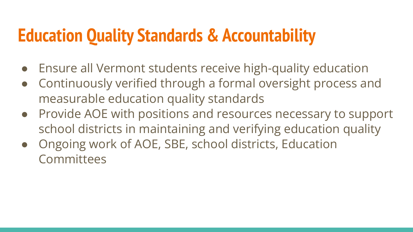### **Education Quality Standards & Accountability**

- **Ensure all Vermont students receive high-quality education**
- Continuously verified through a formal oversight process and measurable education quality standards
- Provide AOE with positions and resources necessary to support school districts in maintaining and verifying education quality
- Ongoing work of AOE, SBE, school districts, Education **Committees**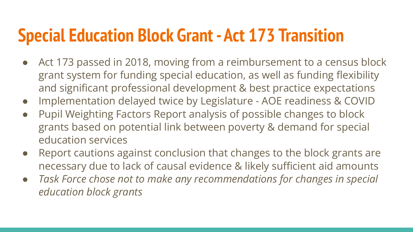### **Special Education Block Grant - Act 173 Transition**

- Act 173 passed in 2018, moving from a reimbursement to a census block grant system for funding special education, as well as funding flexibility and significant professional development & best practice expectations
- Implementation delayed twice by Legislature AOE readiness & COVID
- Pupil Weighting Factors Report analysis of possible changes to block grants based on potential link between poverty & demand for special education services
- Report cautions against conclusion that changes to the block grants are necessary due to lack of causal evidence & likely sufficient aid amounts
- *● Task Force chose not to make any recommendations for changes in special education block grants*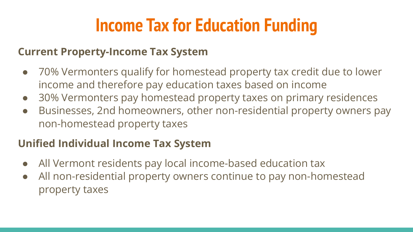## **Income Tax for Education Funding**

#### **Current Property-Income Tax System**

- 70% Vermonters qualify for homestead property tax credit due to lower income and therefore pay education taxes based on income
- 30% Vermonters pay homestead property taxes on primary residences
- Businesses, 2nd homeowners, other non-residential property owners pay non-homestead property taxes

### **Unified Individual Income Tax System**

- All Vermont residents pay local income-based education tax
- All non-residential property owners continue to pay non-homestead property taxes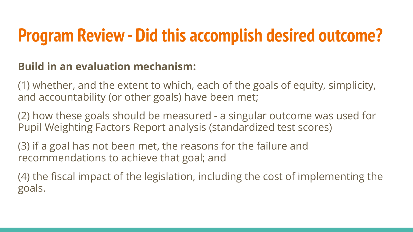### **Program Review - Did this accomplish desired outcome?**

### **Build in an evaluation mechanism:**

(1) whether, and the extent to which, each of the goals of equity, simplicity, and accountability (or other goals) have been met;

(2) how these goals should be measured - a singular outcome was used for Pupil Weighting Factors Report analysis (standardized test scores)

(3) if a goal has not been met, the reasons for the failure and recommendations to achieve that goal; and

(4) the fiscal impact of the legislation, including the cost of implementing the goals.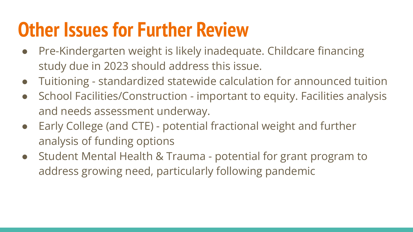# **Other Issues for Further Review**

- Pre-Kindergarten weight is likely inadequate. Childcare financing study due in 2023 should address this issue.
- Tuitioning standardized statewide calculation for announced tuition
- School Facilities/Construction important to equity. Facilities analysis and needs assessment underway.
- Early College (and CTE) potential fractional weight and further analysis of funding options
- Student Mental Health & Trauma potential for grant program to address growing need, particularly following pandemic